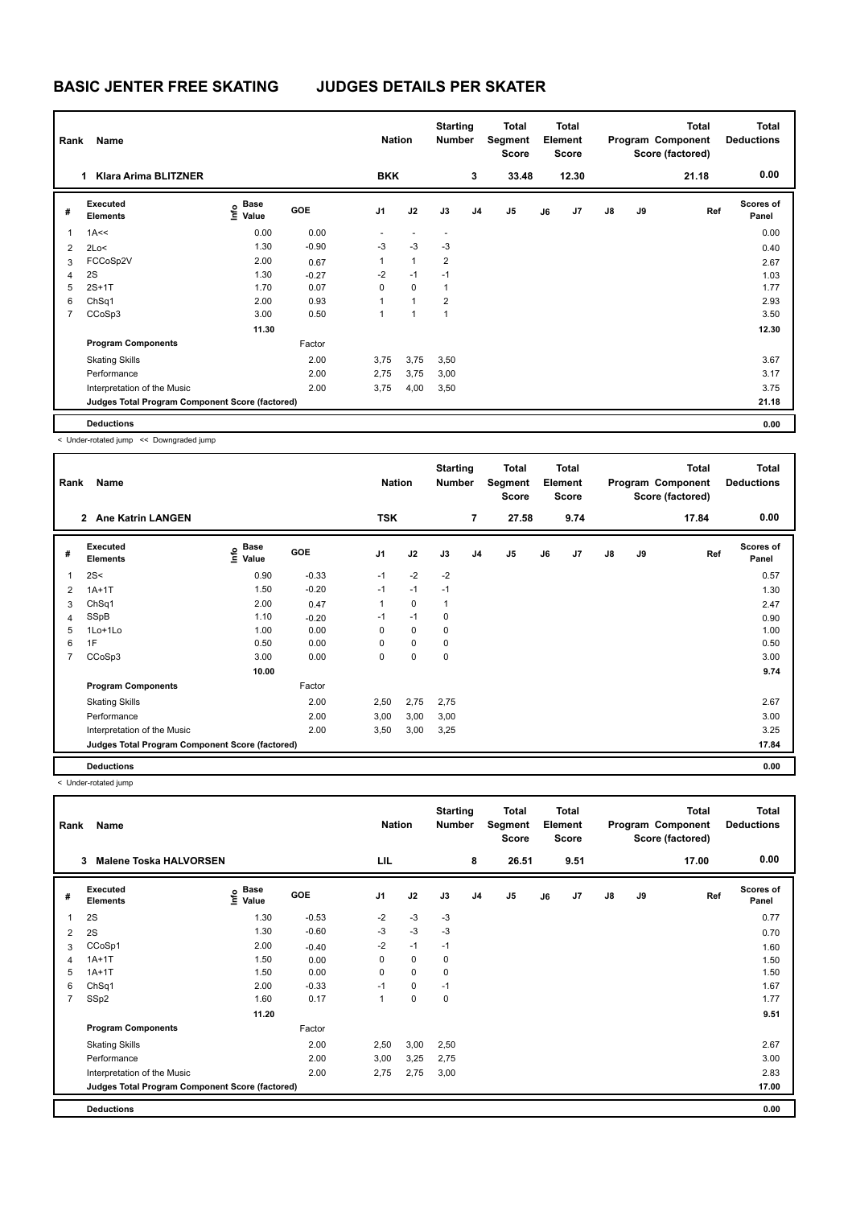# **BASIC JENTER FREE SKATING JUDGES DETAILS PER SKATER**

| Rank           | Name                                            |                                  |            | <b>Nation</b> |                | <b>Starting</b><br><b>Number</b> |                | Total<br>Segment<br><b>Score</b> |    | <b>Total</b><br>Element<br><b>Score</b> |               |    | <b>Total</b><br>Program Component<br>Score (factored) | <b>Total</b><br><b>Deductions</b> |
|----------------|-------------------------------------------------|----------------------------------|------------|---------------|----------------|----------------------------------|----------------|----------------------------------|----|-----------------------------------------|---------------|----|-------------------------------------------------------|-----------------------------------|
|                | <b>Klara Arima BLITZNER</b><br>1                |                                  |            | <b>BKK</b>    |                |                                  | 3              | 33.48                            |    | 12.30                                   |               |    | 21.18                                                 | 0.00                              |
| #              | Executed<br><b>Elements</b>                     | <b>Base</b><br>e Base<br>⊆ Value | <b>GOE</b> | J1            | J2             | J3                               | J <sub>4</sub> | J <sub>5</sub>                   | J6 | J <sub>7</sub>                          | $\mathsf{J}8$ | J9 | Ref                                                   | <b>Scores of</b><br>Panel         |
| 1              | 1A<<                                            | 0.00                             | 0.00       |               | $\overline{a}$ | $\overline{\phantom{a}}$         |                |                                  |    |                                         |               |    |                                                       | 0.00                              |
| 2              | 2Lo<                                            | 1.30                             | $-0.90$    | $-3$          | $-3$           | $-3$                             |                |                                  |    |                                         |               |    |                                                       | 0.40                              |
| 3              | FCCoSp2V                                        | 2.00                             | 0.67       | $\mathbf{1}$  | $\mathbf{1}$   | $\overline{2}$                   |                |                                  |    |                                         |               |    |                                                       | 2.67                              |
| $\overline{4}$ | 2S                                              | 1.30                             | $-0.27$    | $-2$          | $-1$           | $-1$                             |                |                                  |    |                                         |               |    |                                                       | 1.03                              |
| 5              | $2S+1T$                                         | 1.70                             | 0.07       | 0             | $\mathbf 0$    | $\mathbf{1}$                     |                |                                  |    |                                         |               |    |                                                       | 1.77                              |
| 6              | ChSq1                                           | 2.00                             | 0.93       |               | 1              | $\overline{2}$                   |                |                                  |    |                                         |               |    |                                                       | 2.93                              |
| 7              | CCoSp3                                          | 3.00                             | 0.50       | 1             | $\overline{1}$ | $\mathbf{1}$                     |                |                                  |    |                                         |               |    |                                                       | 3.50                              |
|                |                                                 | 11.30                            |            |               |                |                                  |                |                                  |    |                                         |               |    |                                                       | 12.30                             |
|                | <b>Program Components</b>                       |                                  | Factor     |               |                |                                  |                |                                  |    |                                         |               |    |                                                       |                                   |
|                | <b>Skating Skills</b>                           |                                  | 2.00       | 3,75          | 3,75           | 3,50                             |                |                                  |    |                                         |               |    |                                                       | 3.67                              |
|                | Performance                                     |                                  | 2.00       | 2,75          | 3,75           | 3,00                             |                |                                  |    |                                         |               |    |                                                       | 3.17                              |
|                | Interpretation of the Music                     |                                  | 2.00       | 3,75          | 4,00           | 3,50                             |                |                                  |    |                                         |               |    |                                                       | 3.75                              |
|                | Judges Total Program Component Score (factored) |                                  |            |               |                |                                  |                |                                  |    |                                         |               |    |                                                       | 21.18                             |
|                | <b>Deductions</b>                               |                                  |            |               |                |                                  |                |                                  |    |                                         |               |    |                                                       | 0.00                              |

< Under-rotated jump << Downgraded jump

| Rank           | Name                                            |                                  |         | <b>Nation</b> |             | <b>Starting</b><br><b>Number</b> |                | Total<br>Segment<br><b>Score</b> |    | <b>Total</b><br>Element<br><b>Score</b> |               |    | <b>Total</b><br>Program Component<br>Score (factored) | Total<br><b>Deductions</b> |
|----------------|-------------------------------------------------|----------------------------------|---------|---------------|-------------|----------------------------------|----------------|----------------------------------|----|-----------------------------------------|---------------|----|-------------------------------------------------------|----------------------------|
|                | <b>Ane Katrin LANGEN</b><br>$\overline{2}$      |                                  |         | <b>TSK</b>    |             |                                  | $\overline{7}$ | 27.58                            |    | 9.74                                    |               |    | 17.84                                                 | 0.00                       |
| #              | Executed<br><b>Elements</b>                     | <b>Base</b><br>e Base<br>⊆ Value | GOE     | J1            | J2          | J3                               | J <sub>4</sub> | J <sub>5</sub>                   | J6 | J7                                      | $\mathsf{J}8$ | J9 | Ref                                                   | <b>Scores of</b><br>Panel  |
| $\mathbf{1}$   | 2S<                                             | 0.90                             | $-0.33$ | $-1$          | $-2$        | $-2$                             |                |                                  |    |                                         |               |    |                                                       | 0.57                       |
| 2              | $1A+1T$                                         | 1.50                             | $-0.20$ | $-1$          | $-1$        | $-1$                             |                |                                  |    |                                         |               |    |                                                       | 1.30                       |
| 3              | Ch <sub>Sq1</sub>                               | 2.00                             | 0.47    | 1             | $\mathbf 0$ | 1                                |                |                                  |    |                                         |               |    |                                                       | 2.47                       |
| $\overline{4}$ | SSpB                                            | 1.10                             | $-0.20$ | $-1$          | $-1$        | 0                                |                |                                  |    |                                         |               |    |                                                       | 0.90                       |
| 5              | 1Lo+1Lo                                         | 1.00                             | 0.00    | 0             | $\mathbf 0$ | 0                                |                |                                  |    |                                         |               |    |                                                       | 1.00                       |
| 6              | 1F                                              | 0.50                             | 0.00    | 0             | $\mathbf 0$ | 0                                |                |                                  |    |                                         |               |    |                                                       | 0.50                       |
| $\overline{7}$ | CCoSp3                                          | 3.00                             | 0.00    | 0             | 0           | 0                                |                |                                  |    |                                         |               |    |                                                       | 3.00                       |
|                |                                                 | 10.00                            |         |               |             |                                  |                |                                  |    |                                         |               |    |                                                       | 9.74                       |
|                | <b>Program Components</b>                       |                                  | Factor  |               |             |                                  |                |                                  |    |                                         |               |    |                                                       |                            |
|                | <b>Skating Skills</b>                           |                                  | 2.00    | 2,50          | 2,75        | 2,75                             |                |                                  |    |                                         |               |    |                                                       | 2.67                       |
|                | Performance                                     |                                  | 2.00    | 3,00          | 3,00        | 3,00                             |                |                                  |    |                                         |               |    |                                                       | 3.00                       |
|                | Interpretation of the Music                     |                                  | 2.00    | 3,50          | 3,00        | 3,25                             |                |                                  |    |                                         |               |    |                                                       | 3.25                       |
|                | Judges Total Program Component Score (factored) |                                  |         |               |             |                                  |                |                                  |    |                                         |               |    |                                                       | 17.84                      |
|                | <b>Deductions</b>                               |                                  |         |               |             |                                  |                |                                  |    |                                         |               |    |                                                       | 0.00                       |

< Under-rotated jump

| Name<br>Rank   |                                                 |                              |            |                | <b>Nation</b> |      | <b>Starting</b><br><b>Number</b> | Total<br>Segment<br>Score | <b>Total</b><br>Element<br>Score |      | Program Component |    | <b>Total</b><br>Score (factored) | Total<br><b>Deductions</b> |
|----------------|-------------------------------------------------|------------------------------|------------|----------------|---------------|------|----------------------------------|---------------------------|----------------------------------|------|-------------------|----|----------------------------------|----------------------------|
|                | <b>Malene Toska HALVORSEN</b><br>3              |                              |            | LIL            |               |      | 8                                | 26.51                     |                                  | 9.51 |                   |    | 17.00                            | 0.00                       |
| #              | Executed<br><b>Elements</b>                     | <b>Base</b><br>lnfo<br>Value | <b>GOE</b> | J <sub>1</sub> | J2            | J3   | J <sub>4</sub>                   | J <sub>5</sub>            | J6                               | J7   | $\mathsf{J}8$     | J9 | Ref                              | Scores of<br>Panel         |
| $\overline{1}$ | 2S                                              | 1.30                         | $-0.53$    | $-2$           | $-3$          | $-3$ |                                  |                           |                                  |      |                   |    |                                  | 0.77                       |
| $\overline{2}$ | 2S                                              | 1.30                         | $-0.60$    | $-3$           | $-3$          | $-3$ |                                  |                           |                                  |      |                   |    |                                  | 0.70                       |
| 3              | CCoSp1                                          | 2.00                         | $-0.40$    | $-2$           | $-1$          | $-1$ |                                  |                           |                                  |      |                   |    |                                  | 1.60                       |
| 4              | $1A+1T$                                         | 1.50                         | 0.00       | 0              | $\mathbf 0$   | 0    |                                  |                           |                                  |      |                   |    |                                  | 1.50                       |
| 5              | $1A+1T$                                         | 1.50                         | 0.00       | 0              | $\mathbf 0$   | 0    |                                  |                           |                                  |      |                   |    |                                  | 1.50                       |
| 6              | Ch <sub>Sq1</sub>                               | 2.00                         | $-0.33$    | $-1$           | $\mathbf 0$   | $-1$ |                                  |                           |                                  |      |                   |    |                                  | 1.67                       |
| 7              | SSp2                                            | 1.60                         | 0.17       | $\mathbf{1}$   | $\mathbf 0$   | 0    |                                  |                           |                                  |      |                   |    |                                  | 1.77                       |
|                |                                                 | 11.20                        |            |                |               |      |                                  |                           |                                  |      |                   |    |                                  | 9.51                       |
|                | <b>Program Components</b>                       |                              | Factor     |                |               |      |                                  |                           |                                  |      |                   |    |                                  |                            |
|                | <b>Skating Skills</b>                           |                              | 2.00       | 2,50           | 3,00          | 2,50 |                                  |                           |                                  |      |                   |    |                                  | 2.67                       |
|                | Performance                                     |                              | 2.00       | 3,00           | 3,25          | 2,75 |                                  |                           |                                  |      |                   |    |                                  | 3.00                       |
|                | Interpretation of the Music                     |                              | 2.00       | 2,75           | 2,75          | 3,00 |                                  |                           |                                  |      |                   |    |                                  | 2.83                       |
|                | Judges Total Program Component Score (factored) |                              |            |                |               |      |                                  |                           |                                  |      |                   |    |                                  | 17.00                      |
|                | <b>Deductions</b>                               |                              |            |                |               |      |                                  |                           |                                  |      |                   |    |                                  | 0.00                       |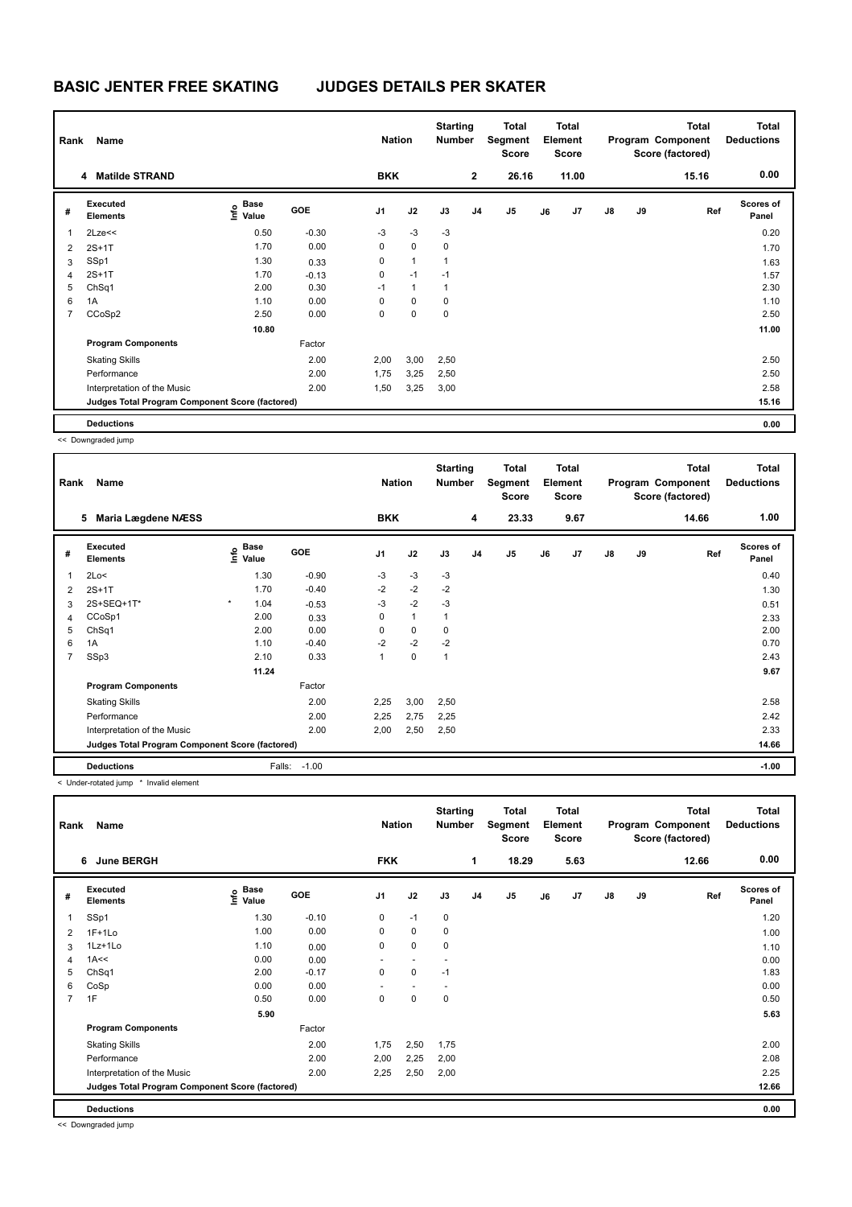# **BASIC JENTER FREE SKATING JUDGES DETAILS PER SKATER**

| Rank           | Name                                            |                                  |            | <b>Nation</b> |              | <b>Starting</b><br><b>Number</b> |                | <b>Total</b><br>Segment<br><b>Score</b> |    | <b>Total</b><br>Element<br>Score |               |    | <b>Total</b><br>Program Component<br>Score (factored) | <b>Total</b><br><b>Deductions</b> |
|----------------|-------------------------------------------------|----------------------------------|------------|---------------|--------------|----------------------------------|----------------|-----------------------------------------|----|----------------------------------|---------------|----|-------------------------------------------------------|-----------------------------------|
|                | <b>Matilde STRAND</b><br>4                      |                                  |            | <b>BKK</b>    |              |                                  | $\mathbf{2}$   | 26.16                                   |    | 11.00                            |               |    | 15.16                                                 | 0.00                              |
| #              | Executed<br><b>Elements</b>                     | <b>Base</b><br>e Base<br>⊆ Value | <b>GOE</b> | J1            | J2           | J3                               | J <sub>4</sub> | J5                                      | J6 | J7                               | $\mathsf{J}8$ | J9 | Ref                                                   | <b>Scores of</b><br>Panel         |
| 1              | $2$ Lze $<<$                                    | 0.50                             | $-0.30$    | $-3$          | $-3$         | $-3$                             |                |                                         |    |                                  |               |    |                                                       | 0.20                              |
| 2              | $2S+1T$                                         | 1.70                             | 0.00       | 0             | $\mathbf 0$  | $\mathbf 0$                      |                |                                         |    |                                  |               |    |                                                       | 1.70                              |
| 3              | SSp1                                            | 1.30                             | 0.33       | 0             | $\mathbf{1}$ | $\mathbf{1}$                     |                |                                         |    |                                  |               |    |                                                       | 1.63                              |
| $\overline{4}$ | $2S+1T$                                         | 1.70                             | $-0.13$    | 0             | $-1$         | $-1$                             |                |                                         |    |                                  |               |    |                                                       | 1.57                              |
| 5              | ChSq1                                           | 2.00                             | 0.30       | $-1$          | $\mathbf{1}$ | $\mathbf{1}$                     |                |                                         |    |                                  |               |    |                                                       | 2.30                              |
| 6              | 1A                                              | 1.10                             | 0.00       | 0             | $\mathbf 0$  | $\mathbf 0$                      |                |                                         |    |                                  |               |    |                                                       | 1.10                              |
| $\overline{7}$ | CCoSp2                                          | 2.50                             | 0.00       | 0             | 0            | $\mathbf 0$                      |                |                                         |    |                                  |               |    |                                                       | 2.50                              |
|                |                                                 | 10.80                            |            |               |              |                                  |                |                                         |    |                                  |               |    |                                                       | 11.00                             |
|                | <b>Program Components</b>                       |                                  | Factor     |               |              |                                  |                |                                         |    |                                  |               |    |                                                       |                                   |
|                | <b>Skating Skills</b>                           |                                  | 2.00       | 2,00          | 3,00         | 2,50                             |                |                                         |    |                                  |               |    |                                                       | 2.50                              |
|                | Performance                                     |                                  | 2.00       | 1,75          | 3,25         | 2,50                             |                |                                         |    |                                  |               |    |                                                       | 2.50                              |
|                | Interpretation of the Music                     |                                  | 2.00       | 1,50          | 3,25         | 3,00                             |                |                                         |    |                                  |               |    |                                                       | 2.58                              |
|                | Judges Total Program Component Score (factored) |                                  |            |               |              |                                  |                |                                         |    |                                  |               |    |                                                       | 15.16                             |
|                | <b>Deductions</b>                               |                                  |            |               |              |                                  |                |                                         |    |                                  |               |    |                                                       | 0.00                              |

<< Downgraded jump

|                | <b>Name</b><br>Rank                             |         |                                           |            | <b>Nation</b>  |              | <b>Starting</b><br><b>Number</b> | <b>Total</b><br>Segment<br><b>Score</b> | <b>Total</b><br>Element<br><b>Score</b> |    |      |               | <b>Total</b><br>Program Component<br>Score (factored) | <b>Total</b><br><b>Deductions</b> |                    |
|----------------|-------------------------------------------------|---------|-------------------------------------------|------------|----------------|--------------|----------------------------------|-----------------------------------------|-----------------------------------------|----|------|---------------|-------------------------------------------------------|-----------------------------------|--------------------|
|                | <b>Maria Lægdene NÆSS</b><br>5                  |         |                                           |            | <b>BKK</b>     |              |                                  | 4                                       | 23.33                                   |    | 9.67 |               |                                                       | 14.66                             | 1.00               |
| #              | <b>Executed</b><br><b>Elements</b>              |         | $\frac{e}{E}$ Base<br>$\frac{E}{E}$ Value | <b>GOE</b> | J <sub>1</sub> | J2           | J3                               | J <sub>4</sub>                          | J <sub>5</sub>                          | J6 | J7   | $\mathsf{J}8$ | J9                                                    | Ref                               | Scores of<br>Panel |
| 1              | 2Lo<                                            |         | 1.30                                      | $-0.90$    | $-3$           | $-3$         | $-3$                             |                                         |                                         |    |      |               |                                                       |                                   | 0.40               |
| 2              | $2S+1T$                                         |         | 1.70                                      | $-0.40$    | $-2$           | $-2$         | $-2$                             |                                         |                                         |    |      |               |                                                       |                                   | 1.30               |
| 3              | 2S+SEQ+1T*                                      | $\star$ | 1.04                                      | $-0.53$    | $-3$           | $-2$         | $-3$                             |                                         |                                         |    |      |               |                                                       |                                   | 0.51               |
| 4              | CCoSp1                                          |         | 2.00                                      | 0.33       | 0              | $\mathbf{1}$ | 1                                |                                         |                                         |    |      |               |                                                       |                                   | 2.33               |
| 5              | ChSq1                                           |         | 2.00                                      | 0.00       | 0              | $\mathbf 0$  | $\mathbf 0$                      |                                         |                                         |    |      |               |                                                       |                                   | 2.00               |
| 6              | 1A                                              |         | 1.10                                      | $-0.40$    | $-2$           | $-2$         | $-2$                             |                                         |                                         |    |      |               |                                                       |                                   | 0.70               |
| $\overline{7}$ | SSp3                                            |         | 2.10                                      | 0.33       | $\overline{1}$ | $\mathbf 0$  | $\mathbf{1}$                     |                                         |                                         |    |      |               |                                                       |                                   | 2.43               |
|                |                                                 |         | 11.24                                     |            |                |              |                                  |                                         |                                         |    |      |               |                                                       |                                   | 9.67               |
|                | <b>Program Components</b>                       |         |                                           | Factor     |                |              |                                  |                                         |                                         |    |      |               |                                                       |                                   |                    |
|                | <b>Skating Skills</b>                           |         |                                           | 2.00       | 2,25           | 3,00         | 2,50                             |                                         |                                         |    |      |               |                                                       |                                   | 2.58               |
|                | Performance                                     |         |                                           | 2.00       | 2,25           | 2,75         | 2,25                             |                                         |                                         |    |      |               |                                                       |                                   | 2.42               |
|                | Interpretation of the Music                     |         |                                           | 2.00       | 2,00           | 2,50         | 2,50                             |                                         |                                         |    |      |               |                                                       |                                   | 2.33               |
|                | Judges Total Program Component Score (factored) |         |                                           |            |                |              |                                  |                                         |                                         |    |      |               |                                                       |                                   | 14.66              |
|                | <b>Deductions</b>                               |         | Falls:                                    | $-1.00$    |                |              |                                  |                                         |                                         |    |      |               |                                                       |                                   | $-1.00$            |

< Under-rotated jump \* Invalid element

|                | <b>Name</b><br>Rank                             |                                  |            |                | <b>Nation</b>  |             | <b>Starting</b><br>Number | Total<br>Segment<br>Score |    | Total<br>Element<br><b>Score</b> |               |    | <b>Total</b><br>Program Component<br>Score (factored) | <b>Total</b><br><b>Deductions</b> |
|----------------|-------------------------------------------------|----------------------------------|------------|----------------|----------------|-------------|---------------------------|---------------------------|----|----------------------------------|---------------|----|-------------------------------------------------------|-----------------------------------|
|                | <b>June BERGH</b><br>6                          |                                  |            | <b>FKK</b>     |                |             | 1                         | 18.29                     |    | 5.63                             |               |    | 12.66                                                 | 0.00                              |
| #              | Executed<br><b>Elements</b>                     | <b>Base</b><br>e Base<br>⊆ Value | <b>GOE</b> | J <sub>1</sub> | J2             | J3          | J <sub>4</sub>            | J5                        | J6 | J7                               | $\mathsf{J}8$ | J9 | Ref                                                   | <b>Scores of</b><br>Panel         |
| 1              | SSp1                                            | 1.30                             | $-0.10$    | 0              | $-1$           | $\mathbf 0$ |                           |                           |    |                                  |               |    |                                                       | 1.20                              |
| 2              | $1F+1Lo$                                        | 1.00                             | 0.00       | 0              | $\mathbf 0$    | 0           |                           |                           |    |                                  |               |    |                                                       | 1.00                              |
| 3              | 1Lz+1Lo                                         | 1.10                             | 0.00       | $\mathbf 0$    | $\mathbf 0$    | $\pmb{0}$   |                           |                           |    |                                  |               |    |                                                       | 1.10                              |
| 4              | 1A<<                                            | 0.00                             | 0.00       | ٠              | $\overline{a}$ | ٠           |                           |                           |    |                                  |               |    |                                                       | 0.00                              |
| 5              | ChSq1                                           | 2.00                             | $-0.17$    | $\mathbf 0$    | $\mathbf 0$    | $-1$        |                           |                           |    |                                  |               |    |                                                       | 1.83                              |
| 6              | CoSp                                            | 0.00                             | 0.00       |                |                |             |                           |                           |    |                                  |               |    |                                                       | 0.00                              |
| $\overline{7}$ | 1F                                              | 0.50                             | 0.00       | 0              | 0              | 0           |                           |                           |    |                                  |               |    |                                                       | 0.50                              |
|                |                                                 | 5.90                             |            |                |                |             |                           |                           |    |                                  |               |    |                                                       | 5.63                              |
|                | <b>Program Components</b>                       |                                  | Factor     |                |                |             |                           |                           |    |                                  |               |    |                                                       |                                   |
|                | <b>Skating Skills</b>                           |                                  | 2.00       | 1,75           | 2,50           | 1,75        |                           |                           |    |                                  |               |    |                                                       | 2.00                              |
|                | Performance                                     |                                  | 2.00       | 2,00           | 2,25           | 2,00        |                           |                           |    |                                  |               |    |                                                       | 2.08                              |
|                | Interpretation of the Music                     |                                  | 2.00       | 2,25           | 2,50           | 2,00        |                           |                           |    |                                  |               |    |                                                       | 2.25                              |
|                | Judges Total Program Component Score (factored) |                                  |            |                |                |             |                           |                           |    |                                  |               |    |                                                       | 12.66                             |
|                | <b>Deductions</b>                               |                                  |            |                |                |             |                           |                           |    |                                  |               |    |                                                       | 0.00                              |

<< Downgraded jump